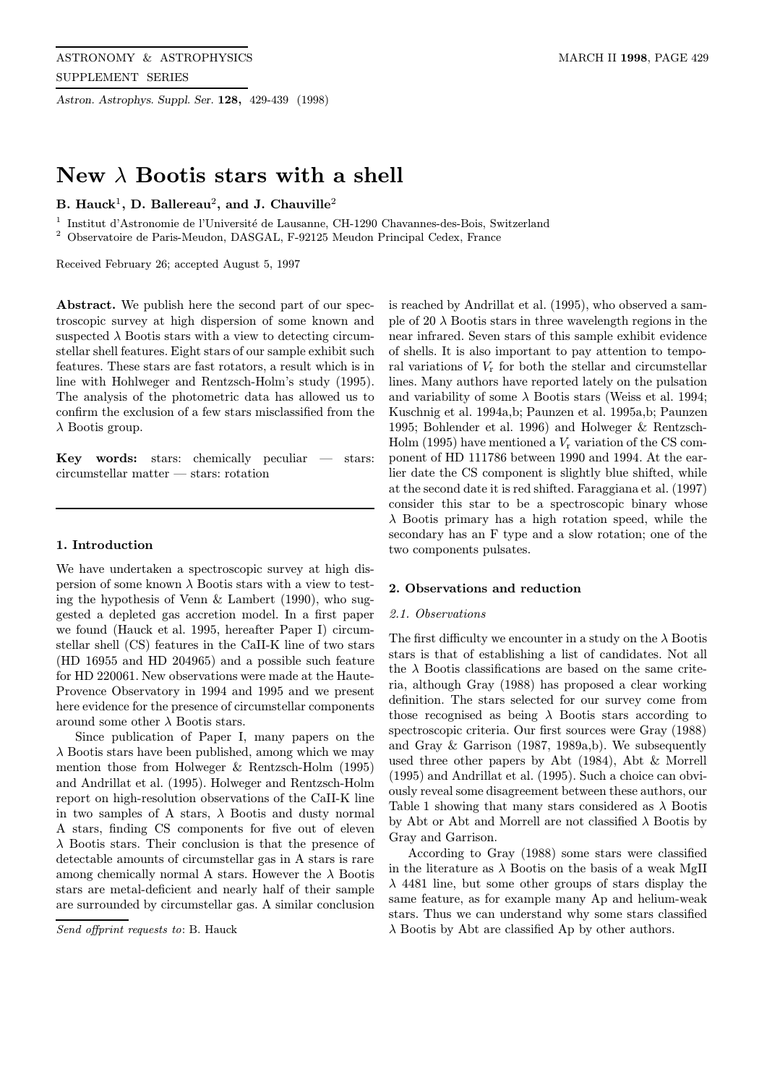Astron. Astrophys. Suppl. Ser. 128, 429-439 (1998)

# New  $\lambda$  Bootis stars with a shell

# B. Hauck<sup>1</sup>, D. Ballereau<sup>2</sup>, and J. Chauville<sup>2</sup>

 $^{\rm 1}$ Institut d'Astronomie de l'Université de Lausanne, CH-1290 Chavannes-des-Bois, Switzerland

<sup>2</sup> Observatoire de Paris-Meudon, DASGAL, F-92125 Meudon Principal Cedex, France

Received February 26; accepted August 5, 1997

Abstract. We publish here the second part of our spectroscopic survey at high dispersion of some known and suspected  $\lambda$  Bootis stars with a view to detecting circumstellar shell features. Eight stars of our sample exhibit such features. These stars are fast rotators, a result which is in line with Hohlweger and Rentzsch-Holm's study (1995). The analysis of the photometric data has allowed us to confirm the exclusion of a few stars misclassified from the  $\lambda$  Bootis group.

**Key words:** stars: chemically peculiar  $-$  stars: circumstellar matter — stars: rotation

## 1. Introduction

We have undertaken a spectroscopic survey at high dispersion of some known  $\lambda$  Bootis stars with a view to testing the hypothesis of Venn & Lambert (1990), who suggested a depleted gas accretion model. In a first paper we found (Hauck et al. 1995, hereafter Paper I) circumstellar shell (CS) features in the CaII-K line of two stars (HD 16955 and HD 204965) and a possible such feature for HD 220061. New observations were made at the Haute-Provence Observatory in 1994 and 1995 and we present here evidence for the presence of circumstellar components around some other  $\lambda$  Bootis stars.

Since publication of Paper I, many papers on the  $\lambda$  Bootis stars have been published, among which we may mention those from Holweger & Rentzsch-Holm (1995) and Andrillat et al. (1995). Holweger and Rentzsch-Holm report on high-resolution observations of the CaII-K line in two samples of A stars,  $\lambda$  Bootis and dusty normal A stars, finding CS components for five out of eleven  $\lambda$  Bootis stars. Their conclusion is that the presence of detectable amounts of circumstellar gas in A stars is rare among chemically normal A stars. However the  $\lambda$  Bootis stars are metal-deficient and nearly half of their sample are surrounded by circumstellar gas. A similar conclusion

Send offprint requests to: B. Hauck

is reached by Andrillat et al. (1995), who observed a sample of 20  $\lambda$  Bootis stars in three wavelength regions in the near infrared. Seven stars of this sample exhibit evidence of shells. It is also important to pay attention to temporal variations of  $V_r$  for both the stellar and circumstellar lines. Many authors have reported lately on the pulsation and variability of some  $\lambda$  Bootis stars (Weiss et al. 1994; Kuschnig et al. 1994a,b; Paunzen et al. 1995a,b; Paunzen 1995; Bohlender et al. 1996) and Holweger & Rentzsch-Holm (1995) have mentioned a  $V_r$  variation of the CS component of HD 111786 between 1990 and 1994. At the earlier date the CS component is slightly blue shifted, while at the second date it is red shifted. Faraggiana et al. (1997) consider this star to be a spectroscopic binary whose  $\lambda$  Bootis primary has a high rotation speed, while the secondary has an F type and a slow rotation; one of the two components pulsates.

### 2. Observations and reduction

## 2.1. Observations

The first difficulty we encounter in a study on the  $\lambda$  Bootis stars is that of establishing a list of candidates. Not all the  $\lambda$  Bootis classifications are based on the same criteria, although Gray (1988) has proposed a clear working definition. The stars selected for our survey come from those recognised as being  $\lambda$  Bootis stars according to spectroscopic criteria. Our first sources were Gray (1988) and Gray & Garrison (1987, 1989a,b). We subsequently used three other papers by Abt (1984), Abt & Morrell (1995) and Andrillat et al. (1995). Such a choice can obviously reveal some disagreement between these authors, our Table 1 showing that many stars considered as  $\lambda$  Bootis by Abt or Abt and Morrell are not classified  $\lambda$  Bootis by Gray and Garrison.

According to Gray (1988) some stars were classified in the literature as  $\lambda$  Bootis on the basis of a weak MgII  $\lambda$  4481 line, but some other groups of stars display the same feature, as for example many Ap and helium-weak stars. Thus we can understand why some stars classified  $\lambda$  Bootis by Abt are classified Ap by other authors.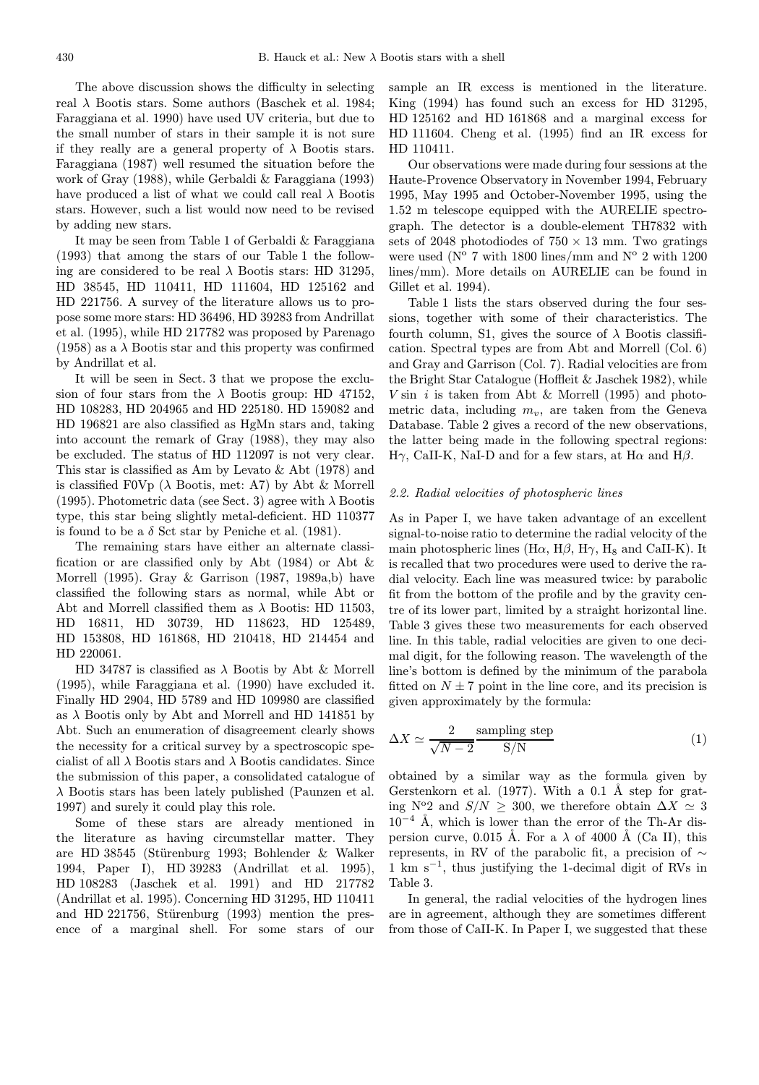The above discussion shows the difficulty in selecting real  $\lambda$  Bootis stars. Some authors (Baschek et al. 1984; Faraggiana et al. 1990) have used UV criteria, but due to the small number of stars in their sample it is not sure if they really are a general property of  $\lambda$  Bootis stars. Faraggiana (1987) well resumed the situation before the work of Gray (1988), while Gerbaldi & Faraggiana (1993) have produced a list of what we could call real  $\lambda$  Bootis stars. However, such a list would now need to be revised by adding new stars.

It may be seen from Table 1 of Gerbaldi & Faraggiana (1993) that among the stars of our Table 1 the following are considered to be real  $\lambda$  Bootis stars: HD 31295, HD 38545, HD 110411, HD 111604, HD 125162 and HD 221756. A survey of the literature allows us to propose some more stars: HD 36496, HD 39283 from Andrillat et al. (1995), while HD 217782 was proposed by Parenago (1958) as a  $\lambda$  Bootis star and this property was confirmed by Andrillat et al.

It will be seen in Sect. 3 that we propose the exclusion of four stars from the  $\lambda$  Bootis group: HD 47152, HD 108283, HD 204965 and HD 225180. HD 159082 and HD 196821 are also classified as HgMn stars and, taking into account the remark of Gray (1988), they may also be excluded. The status of HD 112097 is not very clear. This star is classified as Am by Levato & Abt (1978) and is classified F0Vp  $(\lambda \text{ Bootis, met: A7})$  by Abt & Morrell (1995). Photometric data (see Sect. 3) agree with  $\lambda$  Bootis type, this star being slightly metal-deficient. HD 110377 is found to be a  $\delta$  Sct star by Peniche et al. (1981).

The remaining stars have either an alternate classification or are classified only by Abt (1984) or Abt & Morrell (1995). Gray & Garrison (1987, 1989a,b) have classified the following stars as normal, while Abt or Abt and Morrell classified them as  $\lambda$  Bootis: HD 11503, HD 16811, HD 30739, HD 118623, HD 125489, HD 153808, HD 161868, HD 210418, HD 214454 and HD 220061.

HD 34787 is classified as  $\lambda$  Bootis by Abt & Morrell (1995), while Faraggiana et al. (1990) have excluded it. Finally HD 2904, HD 5789 and HD 109980 are classified as  $\lambda$  Bootis only by Abt and Morrell and HD 141851 by Abt. Such an enumeration of disagreement clearly shows the necessity for a critical survey by a spectroscopic specialist of all  $\lambda$  Bootis stars and  $\lambda$  Bootis candidates. Since the submission of this paper, a consolidated catalogue of  $\lambda$  Bootis stars has been lately published (Paunzen et al. 1997) and surely it could play this role.

Some of these stars are already mentioned in the literature as having circumstellar matter. They are HD 38545 (Stürenburg 1993; Bohlender & Walker 1994, Paper I), HD 39283 (Andrillat et al. 1995), HD 108283 (Jaschek et al. 1991) and HD 217782 (Andrillat et al. 1995). Concerning HD 31295, HD 110411 and HD 221756, Stürenburg (1993) mention the presence of a marginal shell. For some stars of our sample an IR excess is mentioned in the literature. King (1994) has found such an excess for HD 31295, HD 125162 and HD 161868 and a marginal excess for HD 111604. Cheng et al. (1995) find an IR excess for HD 110411.

Our observations were made during four sessions at the Haute-Provence Observatory in November 1994, February 1995, May 1995 and October-November 1995, using the 1.52 m telescope equipped with the AURELIE spectrograph. The detector is a double-element TH7832 with sets of 2048 photodiodes of  $750 \times 13$  mm. Two gratings were used ( $N^{\circ}$  7 with 1800 lines/mm and  $N^{\circ}$  2 with 1200 lines/mm). More details on AURELIE can be found in Gillet et al. 1994).

Table 1 lists the stars observed during the four sessions, together with some of their characteristics. The fourth column, S1, gives the source of  $\lambda$  Bootis classification. Spectral types are from Abt and Morrell (Col. 6) and Gray and Garrison (Col. 7). Radial velocities are from the Bright Star Catalogue (Hoffleit & Jaschek 1982), while  $V \sin i$  is taken from Abt & Morrell (1995) and photometric data, including  $m_v$ , are taken from the Geneva Database. Table 2 gives a record of the new observations, the latter being made in the following spectral regions: Hγ, CaII-K, NaI-D and for a few stars, at Hα and H $β$ .

#### 2.2. Radial velocities of photospheric lines

As in Paper I, we have taken advantage of an excellent signal-to-noise ratio to determine the radial velocity of the main photospheric lines (H $\alpha$ , H $\beta$ , H $\gamma$ , H<sub>8</sub> and CaII-K). It is recalled that two procedures were used to derive the radial velocity. Each line was measured twice: by parabolic fit from the bottom of the profile and by the gravity centre of its lower part, limited by a straight horizontal line. Table 3 gives these two measurements for each observed line. In this table, radial velocities are given to one decimal digit, for the following reason. The wavelength of the line's bottom is defined by the minimum of the parabola fitted on  $N \pm 7$  point in the line core, and its precision is given approximately by the formula:

$$
\Delta X \simeq \frac{2}{\sqrt{N-2}} \frac{\text{sampling step}}{\text{S/N}}
$$
 (1)

obtained by a similar way as the formula given by Gerstenkorn et al.  $(1977)$ . With a 0.1 Å step for grating N°2 and  $S/N \geq 300$ , we therefore obtain  $\Delta X \simeq 3$  $10^{-4}$  Å, which is lower than the error of the Th-Ar dispersion curve, 0.015 Å. For a  $\lambda$  of 4000 Å (Ca II), this represents, in RV of the parabolic fit, a precision of  $\sim$ 1 km s<sup>−</sup><sup>1</sup>, thus justifying the 1-decimal digit of RVs in Table 3.

In general, the radial velocities of the hydrogen lines are in agreement, although they are sometimes different from those of CaII-K. In Paper I, we suggested that these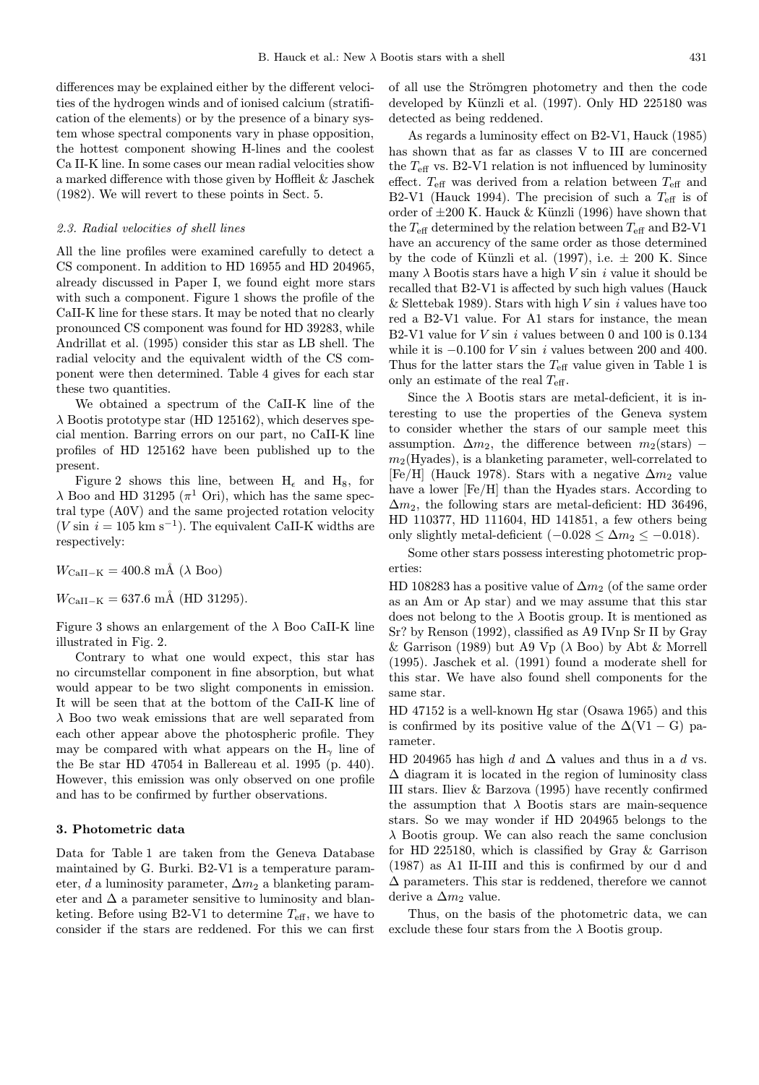differences may be explained either by the different velocities of the hydrogen winds and of ionised calcium (stratification of the elements) or by the presence of a binary system whose spectral components vary in phase opposition, the hottest component showing H-lines and the coolest Ca II-K line. In some cases our mean radial velocities show a marked difference with those given by Hoffleit & Jaschek (1982). We will revert to these points in Sect. 5.

## 2.3. Radial velocities of shell lines

All the line profiles were examined carefully to detect a CS component. In addition to HD 16955 and HD 204965, already discussed in Paper I, we found eight more stars with such a component. Figure 1 shows the profile of the CaII-K line for these stars. It may be noted that no clearly pronounced CS component was found for HD 39283, while Andrillat et al. (1995) consider this star as LB shell. The radial velocity and the equivalent width of the CS component were then determined. Table 4 gives for each star these two quantities.

We obtained a spectrum of the CaII-K line of the  $\lambda$  Bootis prototype star (HD 125162), which deserves special mention. Barring errors on our part, no CaII-K line profiles of HD 125162 have been published up to the present.

Figure 2 shows this line, between  $H_{\epsilon}$  and  $H_8$ , for  $\lambda$  Boo and HD 31295 ( $\pi$ <sup>1</sup> Ori), which has the same spectral type (A0V) and the same projected rotation velocity  $(V \sin i = 105 \text{ km s}^{-1})$ . The equivalent CaII-K widths are respectively:

 $W_{\text{CaII-K}} = 400.8 \text{ mA}$  ( $\lambda$  Boo)

 $W_{\text{CaII-K}} = 637.6 \text{ mA}$  (HD 31295).

Figure 3 shows an enlargement of the  $\lambda$  Boo CaII-K line illustrated in Fig. 2.

Contrary to what one would expect, this star has no circumstellar component in fine absorption, but what would appear to be two slight components in emission. It will be seen that at the bottom of the CaII-K line of  $\lambda$  Boo two weak emissions that are well separated from each other appear above the photospheric profile. They may be compared with what appears on the  $H_{\gamma}$  line of the Be star HD 47054 in Ballereau et al. 1995 (p. 440). However, this emission was only observed on one profile and has to be confirmed by further observations.

# 3. Photometric data

Data for Table 1 are taken from the Geneva Database maintained by G. Burki. B2-V1 is a temperature parameter, d a luminosity parameter,  $\Delta m_2$  a blanketing parameter and  $\Delta$  a parameter sensitive to luminosity and blanketing. Before using B2-V1 to determine  $T_{\text{eff}}$ , we have to consider if the stars are reddened. For this we can first of all use the Strömgren photometry and then the code developed by Künzli et al. (1997). Only HD 225180 was detected as being reddened.

As regards a luminosity effect on B2-V1, Hauck (1985) has shown that as far as classes V to III are concerned the  $T_{\text{eff}}$  vs. B2-V1 relation is not influenced by luminosity effect.  $T_{\text{eff}}$  was derived from a relation between  $T_{\text{eff}}$  and B2-V1 (Hauck 1994). The precision of such a  $T_{\text{eff}}$  is of order of  $\pm 200$  K. Hauck & Künzli (1996) have shown that the  $T_{\text{eff}}$  determined by the relation between  $T_{\text{eff}}$  and B2-V1 have an accurency of the same order as those determined by the code of Künzli et al. (1997), i.e.  $\pm$  200 K. Since many  $\lambda$  Bootis stars have a high V sin i value it should be recalled that B2-V1 is affected by such high values (Hauck & Slettebak 1989). Stars with high  $V \sin i$  values have too red a B2-V1 value. For A1 stars for instance, the mean B2-V1 value for  $V \sin i$  values between 0 and 100 is 0.134 while it is  $-0.100$  for *V* sin *i* values between 200 and 400. Thus for the latter stars the  $T_{\text{eff}}$  value given in Table 1 is only an estimate of the real  $T_{\text{eff}}$ .

Since the  $\lambda$  Bootis stars are metal-deficient, it is interesting to use the properties of the Geneva system to consider whether the stars of our sample meet this assumption.  $\Delta m_2$ , the difference between  $m_2$ (stars) –  $m_2$ (Hyades), is a blanketing parameter, well-correlated to [Fe/H] (Hauck 1978). Stars with a negative  $\Delta m_2$  value have a lower [Fe/H] than the Hyades stars. According to  $\Delta m_2$ , the following stars are metal-deficient: HD 36496, HD 110377, HD 111604, HD 141851, a few others being only slightly metal-deficient  $(-0.028 \leq \Delta m_2 \leq -0.018)$ .

Some other stars possess interesting photometric properties:

HD 108283 has a positive value of  $\Delta m_2$  (of the same order as an Am or Ap star) and we may assume that this star does not belong to the  $\lambda$  Bootis group. It is mentioned as Sr? by Renson (1992), classified as A9 IVnp Sr II by Gray & Garrison (1989) but A9 Vp ( $\lambda$  Boo) by Abt & Morrell (1995). Jaschek et al. (1991) found a moderate shell for this star. We have also found shell components for the same star.

HD 47152 is a well-known Hg star (Osawa 1965) and this is confirmed by its positive value of the  $\Delta (V1 - G)$  parameter.

HD 204965 has high d and  $\Delta$  values and thus in a d vs.  $\Delta$  diagram it is located in the region of luminosity class III stars. Iliev & Barzova (1995) have recently confirmed the assumption that  $\lambda$  Bootis stars are main-sequence stars. So we may wonder if HD 204965 belongs to the  $\lambda$  Bootis group. We can also reach the same conclusion for HD 225180, which is classified by Gray & Garrison (1987) as A1 II-III and this is confirmed by our d and  $\Delta$  parameters. This star is reddened, therefore we cannot derive a  $\Delta m_2$  value.

Thus, on the basis of the photometric data, we can exclude these four stars from the  $\lambda$  Bootis group.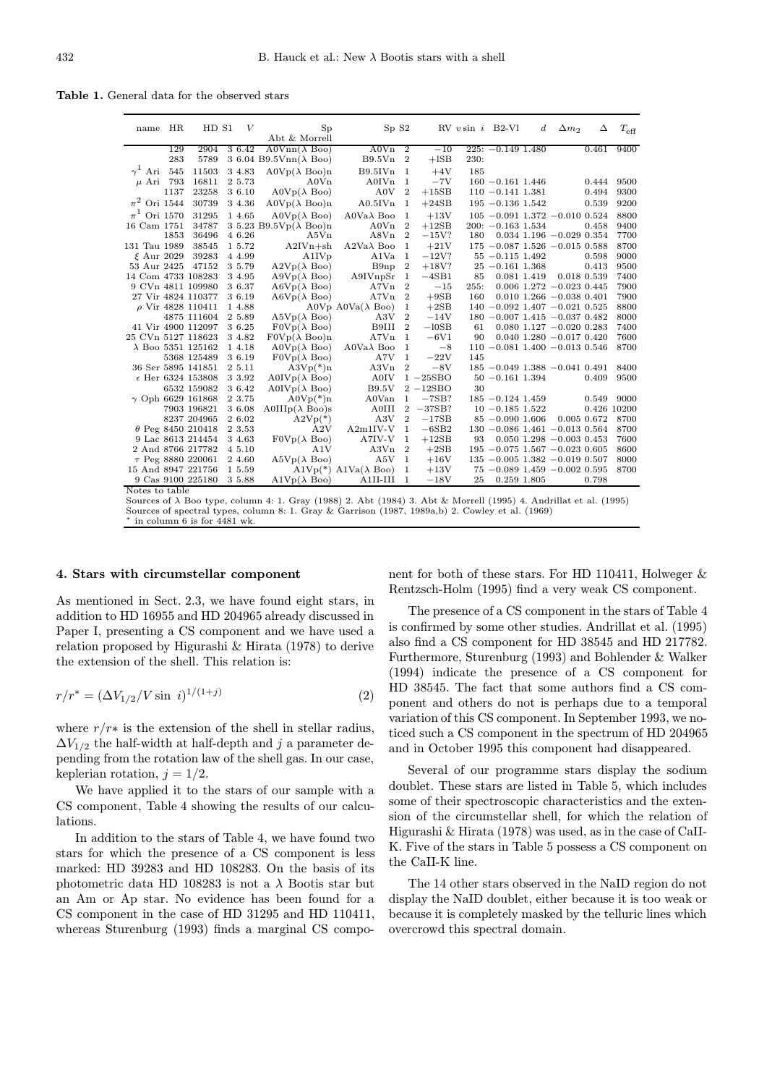Table 1. General data for the observed stars

| name HR            |      | HD S1                      | V      | Sp                                                                                                                       | SpS2                                              |                  |              |      | $RV$ v sin i B2-Vl  | $\boldsymbol{d}$ | $\Delta m_2$                          | Δ     | $T_{\rm eff}$ |
|--------------------|------|----------------------------|--------|--------------------------------------------------------------------------------------------------------------------------|---------------------------------------------------|------------------|--------------|------|---------------------|------------------|---------------------------------------|-------|---------------|
|                    |      |                            |        | Abt & Morrell                                                                                                            |                                                   |                  |              |      |                     |                  |                                       |       |               |
|                    | 129  | 2904                       | 3 6.42 | $A0Vnn(\lambda Boo)$                                                                                                     | $A0Vn$ 2                                          |                  | $-10$        |      | $225: -0.149$ 1.480 |                  |                                       | 0.461 | 9400          |
|                    | 283  | 5789                       |        | 3 6.04 B9.5Vnn( $\lambda$ Boo)                                                                                           | B9.5Vn 2                                          |                  | $+$ lSB      | 230: |                     |                  |                                       |       |               |
| $\gamma^1$ Ari 545 |      | 11503                      | 3 4.83 | $A0Vp(\lambda Boo)n$                                                                                                     | B9.5IVn 1                                         |                  | $+4V$        | 185  |                     |                  |                                       |       |               |
| $\mu$ Ari 793      |      | 16811                      | 2 5.73 | A0Vn                                                                                                                     | $A0IVn$ 1                                         |                  | $-7V$        |      | $160 - 0.161$ 1.446 |                  |                                       | 0.444 | 9500          |
|                    | 1137 | 23258                      | 3 6.10 | $A0Vp(\lambda Boo)$                                                                                                      | A0V                                               | $\overline{2}$   | $+15SB$      |      | $110 - 0.141$ 1.381 |                  |                                       | 0.494 | 9300          |
| $\pi^2$ Ori 1544   |      | 30739                      | 3 4.36 | $A0Vp(\lambda Boo)n$                                                                                                     | $A0.5$ IVn                                        | <sup>1</sup>     | $+24SB$      |      | $195 - 0.136$ 1.542 |                  |                                       | 0.539 | 9200          |
| $\pi^1$ Ori 1570   |      | 31295                      | 1 4.65 | $A0Vp(\lambda Boo)$                                                                                                      | $A0Va\lambda$ Boo                                 | <sup>1</sup>     | $+13V$       |      |                     |                  | $105 - 0.091$ 1.372 $-0.010$ 0.524    |       | 8800          |
| 16 Cam 1751        |      | 34787                      |        | 3 5.23 B9.5Vp $(\lambda$ Boo)n                                                                                           | A0Vn                                              | $\overline{2}$   | $+12SB$      |      | $200: -0.163$ 1.534 |                  |                                       | 0.458 | 9400          |
|                    | 1853 | 36496                      | 4 6.26 | A5Vn                                                                                                                     | A8Vn 2                                            |                  | $-15V?$      | 180  |                     |                  | $0.034$ 1.196 $-0.029$ 0.354          |       | 7700          |
| 131 Tau 1989       |      | 38545                      | 15.72  | $A2IVn+sh$                                                                                                               | $A2Va\lambda$ Boo                                 | <sup>1</sup>     | $+21V$       |      |                     |                  | $175 - 0.087$ 1.526 $-0.015$ 0.588    |       | 8700          |
| $\xi$ Aur 2029     |      | 39283                      | 4 4.99 | A1IVp                                                                                                                    | A1Va                                              | -1               | $-12V$ ?     |      | $55 - 0.115$ 1.492  |                  |                                       | 0.598 | 9000          |
| 53 Aur 2425        |      | 47152                      | 3 5.79 | $A2Vp(\lambda Boo)$                                                                                                      | B9np                                              | $\overline{2}$   | $+18V?$      |      | $25 - 0.161$ 1.368  |                  |                                       | 0.413 | 9500          |
| 14 Com 4733 108283 |      |                            | 3 4.95 | $A9Vp(\lambda Boo)$                                                                                                      | A9IVnpSr 1                                        |                  | $-4SB1$      | 85   | 0.081 1.419         |                  | 0.018 0.539                           |       | 7400          |
| 9 CVn 4811 109980  |      |                            | 3 6.37 | $A6Vp(\lambda\ \text{Boo})$                                                                                              | A7Vn                                              | $\overline{2}$   | $-15$        | 255: |                     |                  | $0.006$ 1.272 $-0.023$ 0.445          |       | 7900          |
|                    |      | 27 Vir 4824 110377         | 3 6.19 | $A6Vp(\lambda\ \text{Boo})$                                                                                              | AYVn 2                                            |                  | $+9SB$       | 160  |                     |                  | $0.010$ 1.266 $-0.038$ 0.401          |       | 7900          |
|                    |      | $\rho$ Vir 4828 110411     | 1 4.88 |                                                                                                                          | A0V <sub>p</sub> A0V <sub>a</sub> $(\lambda$ Boo) | $\mathbf 1$      | $+2SB$       |      |                     |                  | $140 - 0.092$ 1.407 $-0.021$ 0.525    |       | 8800          |
|                    |      | 4875 111604                | 2 5.89 | $A5Vp(\lambda Boo)$                                                                                                      | A3V                                               | $\overline{2}$   | $-14V$       |      |                     |                  | $180 - 0.007$ 1.415 $-0.037$ 0.482    |       | 8000          |
|                    |      | 41 Vir 4900 112097         | 3 6.25 | $F0Vp(\lambda\ \text{Boo})$                                                                                              | B9III                                             | $\overline{2}$   | $-10SB$      | 61   |                     |                  | $0.080$ 1.127 $-0.020$ 0.283          |       | 7400          |
| 25 CVn 5127 118623 |      |                            | 3 4.82 | $F0Vp(\lambda Boo)n$                                                                                                     | A7Vn                                              | <sup>1</sup>     | $-6V1$       | 90   |                     |                  | $0.040$ 1.280 $-0.017$ 0.420          |       | 7600          |
|                    |      | $\lambda$ Boo 5351 125162  | 1 4.18 | $A0Vp(\lambda Boo)$                                                                                                      | $A0Va\lambda$ Boo                                 | $\mathbf{1}$     | $-8$         |      |                     |                  | $110 - 0.081$ 1.400 $-0.013$ 0.546    |       | 8700          |
|                    |      | 5368 125489                | 3 6.19 | $F0Vp(\lambda\ \text{Boo})$                                                                                              | A7V                                               | 1                | $-22V$       | 145  |                     |                  |                                       |       |               |
| 36 Ser 5895 141851 |      |                            | 2 5.11 | $A3Vp(*)n$                                                                                                               | A3Vn                                              | $\boldsymbol{2}$ | $-8V$        |      |                     |                  | $185 - 0.049$ 1.388 $-0.041$ 0.491    |       | 8400          |
|                    |      | $\epsilon$ Her 6324 153808 | 3 3.92 | $A0IVp(\lambda Boo)$                                                                                                     | <b>A0IV</b>                                       |                  | $1 - 25SBO$  |      | $50 - 0.161$ 1.394  |                  |                                       | 0.409 | 9500          |
|                    |      | 6532 159082                | 3 6.42 | $A0IVp(\lambda Boo)$                                                                                                     | <b>B9.5V</b>                                      |                  | $2 - 12$ SBO | 30   |                     |                  |                                       |       |               |
|                    |      | $\gamma$ Oph 6629 161868   | 2 3.75 | $A0Vp(*)n$                                                                                                               | A0Van                                             | $\mathbf{1}$     | $-7SB?$      |      | $185 - 0.124$ 1.459 |                  |                                       | 0.549 | 9000          |
|                    |      | 7903 196821                | 3 6.08 | $A0IIIp(\lambda\ \text{Boo})s$                                                                                           | A0III                                             |                  | $2 -37SB?$   |      | $10 - 0.185$ 1.522  |                  |                                       |       | 0.426 10200   |
|                    |      | 8237 204965                | 2 6.02 | $A2Vp(*)$                                                                                                                | A3V                                               | $\overline{2}$   | $-17SB$      |      | $85 - 0.090$ 1.606  |                  | 0.005 0.672                           |       | 8700          |
|                    |      | $\theta$ Peg 8450 210418   | 2 3.53 | A2V                                                                                                                      | $A2m1IV-V$                                        | $\mathbf{1}$     | $-6SB2$      |      |                     |                  | $130 - 0.086$ 1.461 $-0.013$ 0.564    |       | 8700          |
|                    |      | 9 Lac 8613 214454          | 3 4.63 | $F0Vp(\lambda Boo)$                                                                                                      | A7IV-V                                            | $\mathbf{1}$     | $+12SB$      | 93   |                     |                  | $0.050$ 1.298 $-0.003$ 0.453          |       | 7600          |
|                    |      | 2 And 8766 217782          | 4 5.10 | A1V                                                                                                                      | A3Vn                                              | $\overline{2}$   | $+2SB$       |      |                     |                  | $195 - 0.075$ 1.567 $-0.023$ 0.605    |       | 8600          |
|                    |      | $\tau$ Peg 8880 220061     | 2 4.60 | $A5Vp(\lambda\ \text{Boo})$                                                                                              | A5V                                               | $\overline{1}$   | $+16V$       |      |                     |                  | $135 - 0.005$ $1.382 - 0.019$ $0.507$ |       | 8000          |
| 15 And 8947 221756 |      |                            | 1 5.59 |                                                                                                                          | A1Vp(*) A1Va( $\lambda$ Boo)                      | 1                | $+13V$       |      |                     |                  | $75 - 0.089$ 1.459 $-0.002$ 0.595     |       | 8700          |
|                    |      | 9 Cas 9100 225180          | 3 5.88 | $\mathrm{A1Vp}(\lambda \text{ } \mathrm{Boo})$                                                                           | A1II-III                                          | <sup>1</sup>     | $-18V$       | 25   | 0.259 1.805         |                  |                                       | 0.798 |               |
| Notes to table     |      |                            |        |                                                                                                                          |                                                   |                  |              |      |                     |                  |                                       |       |               |
|                    |      |                            |        | Sources of $\lambda$ Boo type, column 4: 1. Gray (1988) 2. Abt (1984) 3. Abt & Morrell (1995) 4. Andrillat et al. (1995) |                                                   |                  |              |      |                     |                  |                                       |       |               |

Sources of spectral types, column 8: 1. Gray & Garrison (1987, 1989a,b) 2. Cowley et al. (1969) in column 6 is for  $4481$  wk.

## 4. Stars with circumstellar component

As mentioned in Sect. 2.3, we have found eight stars, in addition to HD 16955 and HD 204965 already discussed in Paper I, presenting a CS component and we have used a relation proposed by Higurashi & Hirata (1978) to derive the extension of the shell. This relation is:

$$
r/r^* = (\Delta V_{1/2}/V \sin i)^{1/(1+j)} \tag{2}
$$

where  $r/r*$  is the extension of the shell in stellar radius,  $\Delta V_{1/2}$  the half-width at half-depth and j a parameter depending from the rotation law of the shell gas. In our case, keplerian rotation,  $j = 1/2$ .

We have applied it to the stars of our sample with a CS component, Table 4 showing the results of our calculations.

In addition to the stars of Table 4, we have found two stars for which the presence of a CS component is less marked: HD 39283 and HD 108283. On the basis of its photometric data HD 108283 is not a  $\lambda$  Bootis star but an Am or Ap star. No evidence has been found for a CS component in the case of HD 31295 and HD 110411, whereas Sturenburg (1993) finds a marginal CS component for both of these stars. For HD 110411, Holweger & Rentzsch-Holm (1995) find a very weak CS component.

The presence of a CS component in the stars of Table 4 is confirmed by some other studies. Andrillat et al. (1995) also find a CS component for HD 38545 and HD 217782. Furthermore, Sturenburg (1993) and Bohlender & Walker (1994) indicate the presence of a CS component for HD 38545. The fact that some authors find a CS component and others do not is perhaps due to a temporal variation of this CS component. In September 1993, we noticed such a CS component in the spectrum of HD 204965 and in October 1995 this component had disappeared.

Several of our programme stars display the sodium doublet. These stars are listed in Table 5, which includes some of their spectroscopic characteristics and the extension of the circumstellar shell, for which the relation of Higurashi & Hirata (1978) was used, as in the case of CaII-K. Five of the stars in Table 5 possess a CS component on the CaII-K line.

The 14 other stars observed in the NaID region do not display the NaID doublet, either because it is too weak or because it is completely masked by the telluric lines which overcrowd this spectral domain.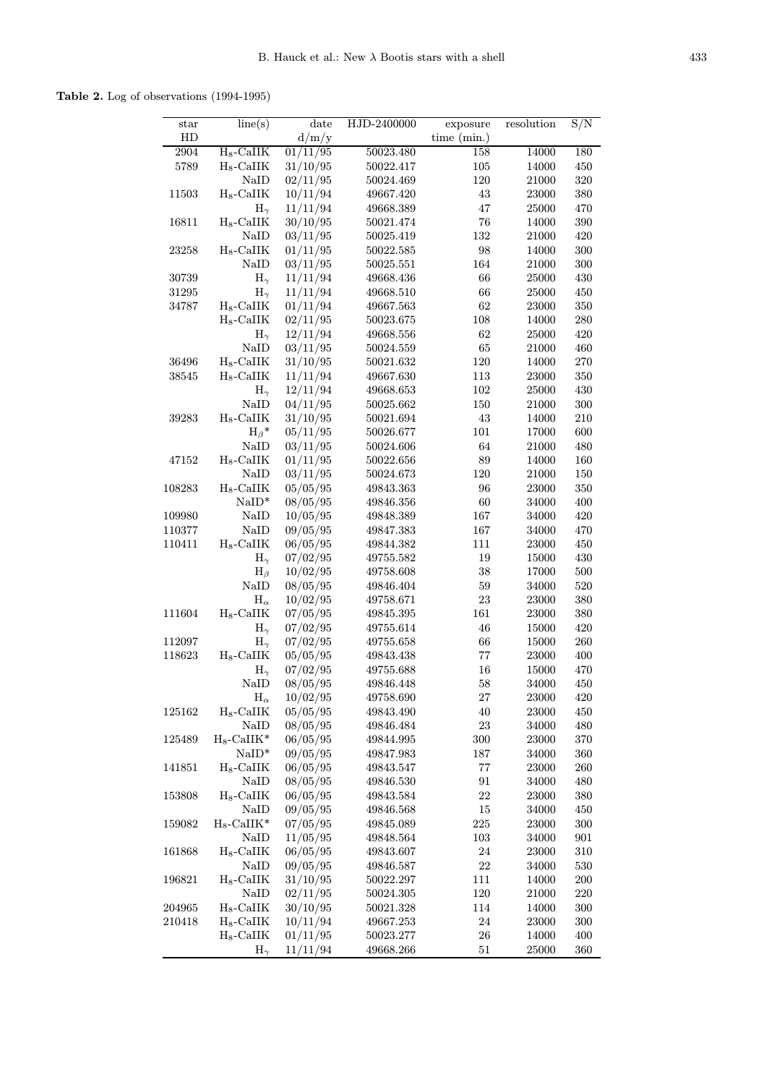Table 2. Log of observations (1994-1995)

| $_{\rm star}$ | line(s)                         | date                 | HJD-2400000            | exposure          | resolution     | S/N        |
|---------------|---------------------------------|----------------------|------------------------|-------------------|----------------|------------|
| HD            |                                 | d/m/y                |                        | time $(min.)$     |                |            |
| 2904          | $H_8$ -CaIIK                    | 01/11/95             | 50023.480              | 158               | 14000          | 180        |
| 5789          | $H_8$ -CaIIK                    | 31/10/95             | 50022.417              | 105               | 14000          | 450        |
|               | NaID                            | 02/11/95             | 50024.469              | 120               | 21000          | 320        |
| 11503         | $H_8$ -CaII $K$                 | 10/11/94             | 49667.420              | 43                | 23000          | 380        |
|               | $H_{\gamma}$                    | 11/11/94             | 49668.389              | 47                | 25000          | 470        |
| 16811         | $H_8$ -CaIIK                    | 30/10/95             | 50021.474              | 76                | 14000          | 390        |
|               | NaID                            | 03/11/95             | 50025.419              | 132               | 21000          | 420        |
| 23258         | $H_8$ -CaII $K$                 | 01/11/95             | 50022.585              | 98                | 14000          | 300        |
|               | NaID                            | 03/11/95             | 50025.551              | 164               | 21000          | 300        |
| 30739         | $H_{\gamma}$                    | 11/11/94             | 49668.436              | 66                | 25000          | 430        |
| 31295         | $H_{\gamma}$                    | 11/11/94             | 49668.510              | 66                | 25000          | 450        |
| 34787         | $H_8$ -CaII $K$                 | 01/11/94             | 49667.563              | 62                | 23000          | 350        |
|               | $H_8$ -CaIIK                    | 02/11/95             | 50023.675              | 108               | 14000          | 280        |
|               | $H_{\gamma}$                    | 12/11/94             | 49668.556              | 62                | 25000          | 420        |
|               | NaID                            | 03/11/95             | 50024.559              | 65                | 21000          | 460        |
| 36496         | $H_8$ -CaII $K$                 | 31/10/95             | 50021.632              | 120               | 14000          | 270        |
| 38545         | $H_8$ -CaII $K$                 | 11/11/94             | 49667.630              | 113               | 23000          | 350        |
|               | $H_{\gamma}$                    | 12/11/94             | 49668.653              | 102               | 25000          | 430        |
|               | NaID                            | 04/11/95             | 50025.662              | 150               | 21000          | 300        |
| 39283         | $H_8$ -CaII $K$                 | 31/10/95             | 50021.694              | 43                | 14000          | 210        |
|               | $H_\beta$ *                     | 05/11/95             | 50026.677              | 101               | 17000          | 600        |
|               | NaID                            | 03/11/95             | 50024.606              | 64                | 21000          | 480        |
| 47152         | $H_8$ -CaII $K$                 | 01/11/95             | 50022.656              | 89                | 14000          | 160        |
|               | NaID                            | 03/11/95             | 50024.673              | 120               | 21000          | 150        |
| 108283        | $H_8$ -CaII $K$                 | 05/05/95             | 49843.363              | 96                | 23000          | 350        |
|               | $NaID*$                         | 08/05/95             | 49846.356              | 60                | 34000          | 400        |
| 109980        | NaID                            | 10/05/95             | 49848.389              | 167               | 34000          | 420        |
| 110377        | NaID                            | 09/05/95             | 49847.383              | 167               | 34000          | 470        |
| 110411        | $H_8$ -CaII $K$                 | 06/05/95             | 49844.382              | 111               | 23000          | 450        |
|               | $H_{\gamma}$                    | 07/02/95             | 49755.582              | 19                | 15000          | 430        |
|               | $H_{\beta}$                     | 10/02/95             | 49758.608              | 38                | 17000          | 500        |
|               | NaID                            | 08/05/95             | 49846.404              | 59                | 34000          | 520        |
|               | $H_{\alpha}$                    | 10/02/95             | 49758.671              | 23                | 23000          | 380        |
| 111604        | $H_8$ -CaII $K$                 | 07/05/95             | 49845.395              | 161               | 23000          | 380        |
|               | $H_{\gamma}$                    | 07/02/95             | 49755.614              | 46                | 15000          | 420        |
| 112097        | $H_{\gamma}$                    | 07/02/95             | 49755.658              | 66                | 15000          | 260        |
| 118623        | $H_8$ -CaIIK                    | 05/05/95             | 49843.438              | 77                | 23000          | 400        |
|               | $H_{\gamma}$                    | 07/02/95             | 49755.688              | 16                | 15000          | 470        |
|               | NaID                            | 08/05/95             | 49846.448              | 58                | 34000          | 450        |
|               | $H_{\alpha}$                    | 10/02/95             | 49758.690              | 27                | 23000          | 420        |
| 125162        | $H_8$ -CaIIK                    | 05/05/95             | 49843.490              | 40                | 23000          | 450        |
|               | NaID                            | 08/05/95             | 49846.484              | 23                | 34000          | 480        |
| 125489        | $H_8$ -CaII $K^*$               | 06/05/95             | 49844.995              | 300               | 23000          | 370        |
|               | $NaID*$                         | 09/05/95             | 49847.983              | 187               | 34000          | 360        |
| 141851        | $H_8$ -CaII $K$                 | 06/05/95             | 49843.547              | 77                | 23000          | $260\,$    |
|               | NaID                            | 08/05/95             | 49846.530              | 91                | 34000          | 480        |
| 153808        | $H_8$ -CaII $K$<br>NaID         | 06/05/95             | 49843.584              | 22                | 23000          | 380        |
|               |                                 | 09/05/95<br>07/05/95 | 49846.568              | 15                | 34000          | 450        |
| 159082        | $H_8$ -CaII $K^*$               |                      | 49845.089              | 225               | 23000          | 300        |
|               | NaID                            | 11/05/95             | 49848.564              | 103               | 34000          | 901        |
| 161868        | $H_8$ -CaII $K$                 | 06/05/95             | 49843.607              | $\sqrt{24}$       | 23000          | 310        |
| 196821        | NaID                            | 09/05/95<br>31/10/95 | 49846.587<br>50022.297 | 22<br>111         | 34000<br>14000 | 530        |
|               | $H_8$ -CaIIK<br>NaID            | 02/11/95             |                        | 120               |                | <b>200</b> |
|               | $H_8$ -CaIIK                    |                      | 50024.305              | 114               | 21000          | 220        |
| 204965        |                                 | 30/10/95             | 50021.328              |                   | 14000          | 300        |
| 210418        | $H_8$ -CaII $K$<br>$H_8$ -CaIIK | 10/11/94             | 49667.253              | $\sqrt{24}$<br>26 | 23000<br>14000 | 300        |
|               |                                 | 01/11/95<br>11/11/94 | 50023.277<br>49668.266 | 51                |                | 400<br>360 |
|               | $H_{\gamma}$                    |                      |                        |                   | 25000          |            |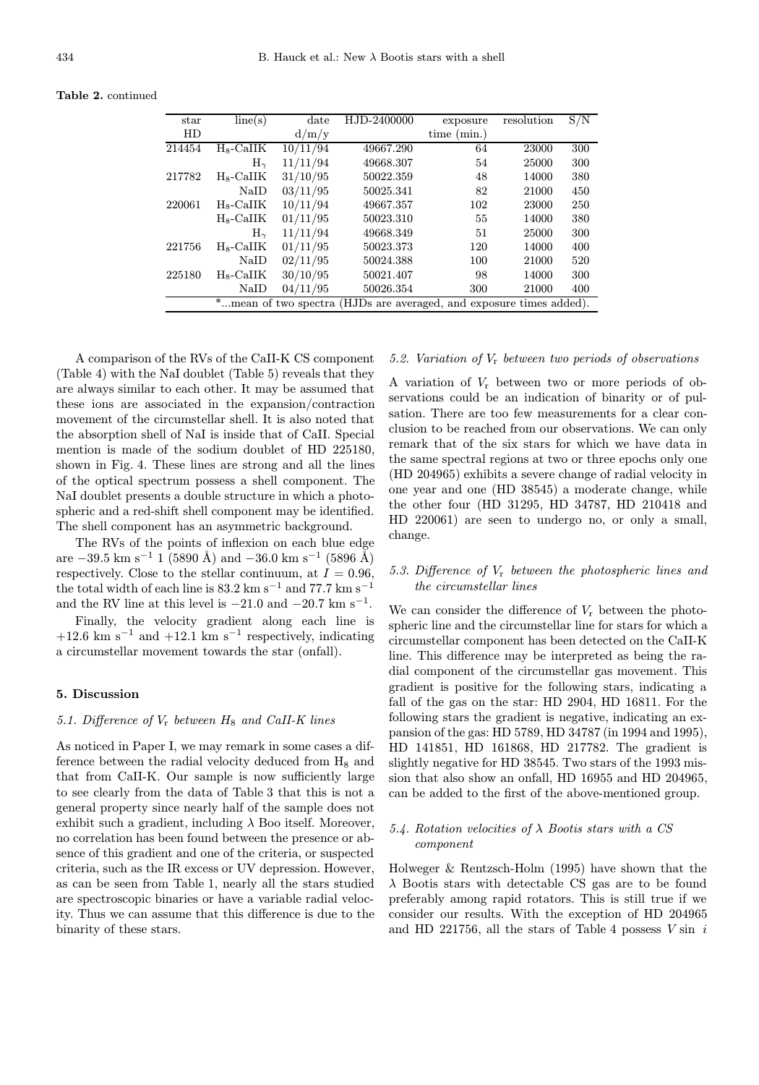Table 2. continued

| star   | line(s)                   | date                 | HJD-2400000                                    | exposure    | resolution | S/N |
|--------|---------------------------|----------------------|------------------------------------------------|-------------|------------|-----|
| HD     |                           | d/m/y                |                                                | time (min.) |            |     |
| 214454 | $_{\rm H_8\text{-}CaIIK}$ | 10/11/94             | 49667.290                                      | 64          | 23000      | 300 |
|        | $\rm H_{\sim}$            | 11/11/94             | 49668.307                                      | 54          | 25000      | 300 |
| 217782 | $H_8$ -CaIIK              | 31/10/95             | 50022.359                                      | 48          | 14000      | 380 |
|        | $\rm NaID$                | 03/11/95             | 50025.341                                      | 82          | 21000      | 450 |
| 220061 | $H_8$ -CaIIK              | 10/11/94             | 49667.357                                      | 102         | 23000      | 250 |
|        | $H_8$ -CaIIK              | 01/11/95             | 50023.310                                      | 55          | 14000      | 380 |
|        | $H_{\sim}$                | 11/11/94             | 49668.349                                      | 51          | 25000      | 300 |
| 221756 | $_{\rm H_8\text{-}CaIIK}$ | 01/11/95             | 50023.373                                      | 120         | 14000      | 400 |
|        | NaID                      | 02/11/95             | 50024.388                                      | 100         | 21000      | 520 |
| 225180 | $_{\rm H_8\text{-}CaIIK}$ | 30/10/95             | 50021.407                                      | 98          | 14000      | 300 |
|        | NaID                      | 04/11/95             | 50026.354                                      | 300         | 21000      | 400 |
|        |                           | *mean of two spectra | (HJDs are averaged, and exposure times added). |             |            |     |

A comparison of the RVs of the CaII-K CS component (Table 4) with the NaI doublet (Table 5) reveals that they are always similar to each other. It may be assumed that these ions are associated in the expansion/contraction movement of the circumstellar shell. It is also noted that the absorption shell of NaI is inside that of CaII. Special mention is made of the sodium doublet of HD 225180, shown in Fig. 4. These lines are strong and all the lines of the optical spectrum possess a shell component. The NaI doublet presents a double structure in which a photospheric and a red-shift shell component may be identified. The shell component has an asymmetric background.

The RVs of the points of inflexion on each blue edge are  $-39.5$  km s<sup>-1</sup> 1 (5890 Å) and  $-36.0$  km s<sup>-1</sup> (5896 Å) respectively. Close to the stellar continuum, at  $I = 0.96$ , the total width of each line is  $83.2 \text{ km s}^{-1}$  and  $77.7 \text{ km s}^{-1}$ and the RV line at this level is  $-21.0$  and  $-20.7$  km s<sup>-1</sup>.

Finally, the velocity gradient along each line is +12.6 km s<sup>-1</sup> and +12.1 km s<sup>-1</sup> respectively, indicating a circumstellar movement towards the star (onfall).

# 5. Discussion

# 5.1. Difference of  $V_r$  between  $H_8$  and CaII-K lines

As noticed in Paper I, we may remark in some cases a difference between the radial velocity deduced from  $H_8$  and that from CaII-K. Our sample is now sufficiently large to see clearly from the data of Table 3 that this is not a general property since nearly half of the sample does not exhibit such a gradient, including  $\lambda$  Boo itself. Moreover, no correlation has been found between the presence or absence of this gradient and one of the criteria, or suspected criteria, such as the IR excess or UV depression. However, as can be seen from Table 1, nearly all the stars studied are spectroscopic binaries or have a variable radial velocity. Thus we can assume that this difference is due to the binarity of these stars.

## 5.2. Variation of V<sup>r</sup> between two periods of observations

A variation of  $V_r$  between two or more periods of observations could be an indication of binarity or of pulsation. There are too few measurements for a clear conclusion to be reached from our observations. We can only remark that of the six stars for which we have data in the same spectral regions at two or three epochs only one (HD 204965) exhibits a severe change of radial velocity in one year and one (HD 38545) a moderate change, while the other four (HD 31295, HD 34787, HD 210418 and HD 220061) are seen to undergo no, or only a small, change.

# 5.3. Difference of  $V_r$  between the photospheric lines and the circumstellar lines

We can consider the difference of  $V_r$  between the photospheric line and the circumstellar line for stars for which a circumstellar component has been detected on the CaII-K line. This difference may be interpreted as being the radial component of the circumstellar gas movement. This gradient is positive for the following stars, indicating a fall of the gas on the star: HD 2904, HD 16811. For the following stars the gradient is negative, indicating an expansion of the gas: HD 5789, HD 34787 (in 1994 and 1995), HD 141851, HD 161868, HD 217782. The gradient is slightly negative for HD 38545. Two stars of the 1993 mission that also show an onfall, HD 16955 and HD 204965, can be added to the first of the above-mentioned group.

# 5.4. Rotation velocities of  $\lambda$  Bootis stars with a CS component

Holweger & Rentzsch-Holm (1995) have shown that the  $\lambda$  Bootis stars with detectable CS gas are to be found preferably among rapid rotators. This is still true if we consider our results. With the exception of HD 204965 and HD 221756, all the stars of Table 4 possess  $V \sin i$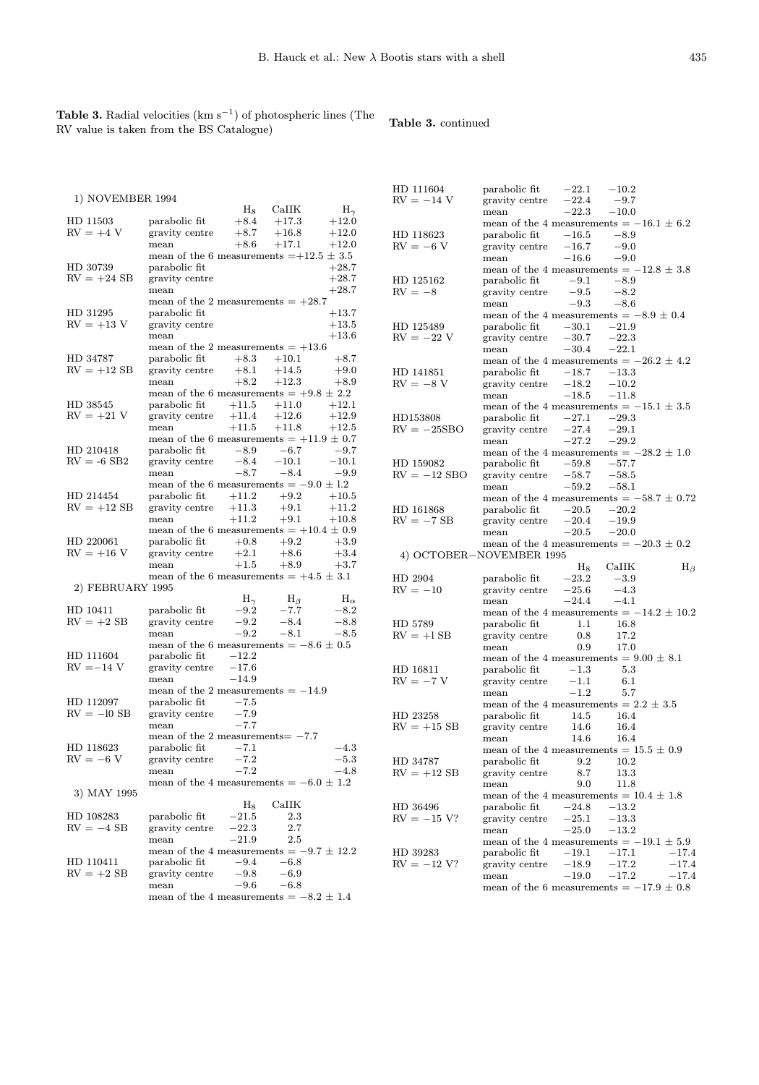Table 3. Radial velocities ( $\text{km s}^{-1}$ ) of photospheric lines (The RV value is taken from the BS Catalogue)

# Table 3. continued

|                           |                                              |                  |                  |                    | HD 111604                | parabolic fit                                        | $-22.1$            | $-10.2$            |             |
|---------------------------|----------------------------------------------|------------------|------------------|--------------------|--------------------------|------------------------------------------------------|--------------------|--------------------|-------------|
| 1) NOVEMBER 1994          |                                              |                  |                  |                    | $RV = -14 V$             | gravity centre                                       | $-22.4$            | $-9.7$             |             |
|                           |                                              | $_{\rm H_8}$     | CaIIK            | $H_{\gamma}$       |                          | mean                                                 | $-22.3$            | $-10.0$            |             |
| HD 11503                  | parabolic fit                                | $+8.4$           | $+17.3$          | $+12.0$            |                          | mean of the 4 measurements $= -16.1 \pm 6.2$         |                    |                    |             |
| $RV = +4 V$               | gravity centre                               | $+8.7$           | $+16.8$          | $+12.0$            | HD 118623                | parabolic fit                                        | $-16.5$            | $-8.9$             |             |
|                           | mean                                         | $+8.6$           | $+17.1$          | $+12.0$            | $RV = -6 V$              | gravity centre                                       | $-16.7$            | $-9.0$             |             |
|                           | mean of the 6 measurements $=+12.5 \pm 3.5$  |                  |                  |                    |                          | mean                                                 | $-16.6$            | $-9.0$             |             |
| HD 30739<br>$RV = +24 SB$ | parabolic fit                                |                  |                  | $+28.7$            |                          | mean of the 4 measurements $=-12.8 \pm 3.8$          |                    |                    |             |
|                           | gravity centre<br>mean                       |                  |                  | $+28.7$<br>$+28.7$ | HD 125162                | parabolic fit                                        | $-9.1$             | $-8.9$             |             |
|                           | mean of the 2 measurements $= +28.7$         |                  |                  |                    | $RV = -8$                | gravity centre                                       | $-9.5$             | $-8.2$             |             |
| HD 31295                  | parabolic fit                                |                  |                  | $+13.7$            |                          | mean                                                 | $-9.3$             | $-8.6$             |             |
| $RV = +13 V$              | gravity centre                               |                  |                  | $+13.5$            |                          | mean of the 4 measurements $= -8.9 \pm 0.4$          |                    |                    |             |
|                           | mean                                         |                  |                  | $+13.6$            | HD 125489                | parabolic fit                                        | $-30.1$            | $-21.9$            |             |
|                           | mean of the 2 measurements $= +13.6$         |                  |                  |                    | $RV = -22 V$             | gravity centre                                       | $-30.7$            | $-22.3$            |             |
| HD 34787                  | parabolic fit                                | $+8.3$           | $+10.1$          | $+8.7$             |                          | mean                                                 | $-30.4$            | $-22.1$            |             |
| $RV = +12 SB$             | gravity centre                               | $+8.1$           | $+14.5$          | $+9.0$             |                          | mean of the 4 measurements $= -26.2 \pm 4.2$         |                    |                    |             |
|                           | mean                                         | $+8.2$           | $+12.3$          | $+8.9$             | HD 141851<br>$RV = -8 V$ | parabolic fit                                        | $-18.7$            | $-13.3$            |             |
|                           | mean of the 6 measurements = $+9.8 \pm 2.2$  |                  |                  |                    |                          | gravity centre                                       | $-18.2$<br>$-18.5$ | $-10.2$<br>$-11.8$ |             |
| HD 38545                  | parabolic fit                                | $+11.5$          | $+11.0$          | $+12.1$            |                          | mean<br>mean of the 4 measurements $=-15.1 \pm 3.5$  |                    |                    |             |
| $RV = +21 V$              | gravity centre                               | $+11.4$          | $+12.6$          | $+12.9$            | HD153808                 | parabolic fit                                        | $-27.1$            | $-29.3$            |             |
|                           | mean                                         | $+11.5$          | $+11.8$          | $+12.5$            | $RV = -25SBO$            | gravity centre                                       | $-27.4$            | $-29.1$            |             |
|                           | mean of the 6 measurements $= +11.9 \pm 0.7$ |                  |                  |                    |                          | mean                                                 | $-27.2$            | $-29.2$            |             |
| HD 210418                 | parabolic fit                                | $-8.9$           | $-6.7$           | $-9.7$             |                          | mean of the 4 measurements $=-28.2 \pm 1.0$          |                    |                    |             |
| $RV = -6$ SB2             | gravity centre                               | $-8.4$           | $-10.1$          | $-10.1$            | HD 159082                | parabolic fit                                        | $-59.8$            | $-57.7$            |             |
|                           | mean                                         | $-8.7$           | $-8.4$           | $-9.9$             | $RV = -12$ SBO           | gravity centre                                       | $-58.7$            | $-58.5$            |             |
|                           | mean of the 6 measurements $= -9.0 \pm 1.2$  |                  |                  |                    |                          | mean                                                 | $-59.2$            | $-58.1$            |             |
| HD 214454                 | parabolic fit                                | $+11.2$          | $+9.2$           | $+10.5$            |                          | mean of the 4 measurements $= -58.7 \pm 0.72$        |                    |                    |             |
| $RV = +12$ SB             | gravity centre                               | $+11.3$          | $+9.1$           | $+11.2$            | HD 161868                | parabolic fit                                        | $-20.5$            | $-20.2$            |             |
|                           | mean                                         | $+11.2$          | $+9.1$           | $+10.8$            | $RV = -7SB$              | gravity centre                                       | $-20.4$            | $-19.9$            |             |
|                           | mean of the 6 measurements $= +10.4 \pm 0.9$ |                  |                  |                    |                          | mean                                                 | $-20.5$            | $-20.0$            |             |
|                           |                                              |                  |                  |                    |                          |                                                      |                    |                    |             |
| HD 220061                 | parabolic fit                                | $+0.8$           | $+9.2$           | $+3.9$             |                          |                                                      |                    |                    |             |
| $RV = +16 V$              | gravity centre                               | $+2.1$           | $+8.6$           | $+3.4$             | 4) OCTOBER-NOVEMBER 1995 | mean of the 4 measurements $= -20.3 \pm 0.2$         |                    |                    |             |
|                           | mean                                         | $+1.5$           | $+8.9$           | $+3.7$             |                          |                                                      | $H_8$              | CaIIK              |             |
|                           | mean of the 6 measurements $= +4.5 \pm 3.1$  |                  |                  |                    | HD 2904                  | parabolic fit                                        | $-23.2$            | $-3.9$             | $H_{\beta}$ |
| 2) FEBRUARY 1995          |                                              |                  |                  |                    | $RV = -10$               | gravity centre                                       | $-25.6$            | $-4.3$             |             |
|                           |                                              | $H_{\gamma}$     | $H_{\beta}$      | $\rm H_\alpha$     |                          | mean                                                 | $-24.4$            | $-4.1$             |             |
| HD 10411                  | parabolic fit                                | $-9.2$           | $-7.7$           | $-8.2$             |                          | mean of the 4 measurements $=-14.2 \pm 10.2$         |                    |                    |             |
| $RV = +2 SB$              | gravity centre                               | $-9.2$           | $-8.4$           | $-8.8$             | HD 5789                  | parabolic fit                                        | 1.1                | 16.8               |             |
|                           | mean                                         | $-9.2$           | $-8.1$           | $-8.5$             | $RV = +1SB$              | gravity centre                                       | 0.8                | 17.2               |             |
|                           | mean of the 6 measurements $= -8.6 \pm 0.5$  |                  |                  |                    |                          | mean                                                 | 0.9                | 17.0               |             |
| HD 111604                 | parabolic fit                                | $-12.2$          |                  |                    |                          | mean of the 4 measurements = $9.00 \pm 8.1$          |                    |                    |             |
| $RV = -14 V$              | gravity centre                               | $-17.6$          |                  |                    | HD 16811                 | parabolic fit                                        | $-1.3$             | 5.3                |             |
|                           | mean                                         | $-14.9$          |                  |                    | $RV = -7 V$              | gravity centre                                       | $-1.1$             | 6.1                |             |
|                           | mean of the 2 measurements $=-14.9$          |                  |                  |                    |                          | mean                                                 | $-1.2$             | 5.7                |             |
| HD 112097                 | parabolic fit                                | $-7.5$           |                  |                    |                          | mean of the 4 measurements $= 2.2 \pm 3.5$           |                    |                    |             |
| $RV = -10$ SB             | gravity centre                               | $-7.9$           |                  |                    | HD 23258                 | parabolic fit                                        | 14.5               | 16.4               |             |
|                           | mean                                         | $-7.7$           |                  |                    | $RV = +15 SB$            | gravity centre                                       | 14.6               | 16.4               |             |
|                           | mean of the 2 measurements $= -7.7$          |                  |                  |                    |                          | mean                                                 | 14.6               | 16.4               |             |
| HD 118623                 | parabolic fit                                | $-7.1$           |                  | $-4.3$             |                          | mean of the 4 measurements = $15.5 \pm 0.9$          |                    |                    |             |
| $RV = -6 V$               | gravity centre                               | $-7.2$           |                  | $-5.3$             | HD 34787                 | parabolic fit                                        | $9.2\,$            | 10.2               |             |
|                           | mean                                         | $-7.2$           |                  | $-4.8$             | $RV = +12$ SB            | gravity centre                                       | 8.7                | 13.3               |             |
|                           | mean of the 4 measurements $= -6.0 \pm 1.2$  |                  |                  |                    |                          | mean                                                 | 9.0                | 11.8               |             |
| 3) MAY 1995               |                                              |                  |                  |                    |                          | mean of the 4 measurements = $10.4 \pm 1.8$          |                    |                    |             |
|                           |                                              | $H_8$            | CaIIK            |                    | HD 36496                 | parabolic fit                                        | $-24.8$            | $^{-13.2}$         |             |
| HD 108283                 | parabolic fit                                | $^{-21.5}$       | $2.3\,$          |                    | $RV = -15 V?$            | gravity centre                                       | $-25.1$            | $-13.3$            |             |
| $RV = -4$ SB              | gravity centre                               | $-22.3$          | $2.7\,$          |                    |                          | mean                                                 | $-25.0$            | $-13.2$            |             |
|                           | mean                                         | $-21.9$          | 2.5              |                    |                          | mean of the 4 measurements $= -19.1 \pm 5.9$         |                    |                    |             |
|                           | mean of the 4 measurements $= -9.7 \pm 12.2$ |                  |                  |                    | HD 39283                 | parabolic fit                                        | $^{-19.1}$         | $-17.1$            | $-17.4$     |
| HD 110411                 | parabolic fit                                | $-9.4$<br>$-9.8$ | $-6.8$<br>$-6.9$ |                    | $RV = -12 V?$            | gravity centre                                       | $-18.9$            | $-17.2$            | $-17.4$     |
| $RV = +2 SB$              | gravity centre<br>mean                       | $-9.6$           | $-6.8$           |                    |                          | mean<br>mean of the 6 measurements $= -17.9 \pm 0.8$ | $-19.0$            | $-17.2$            | $-17.4$     |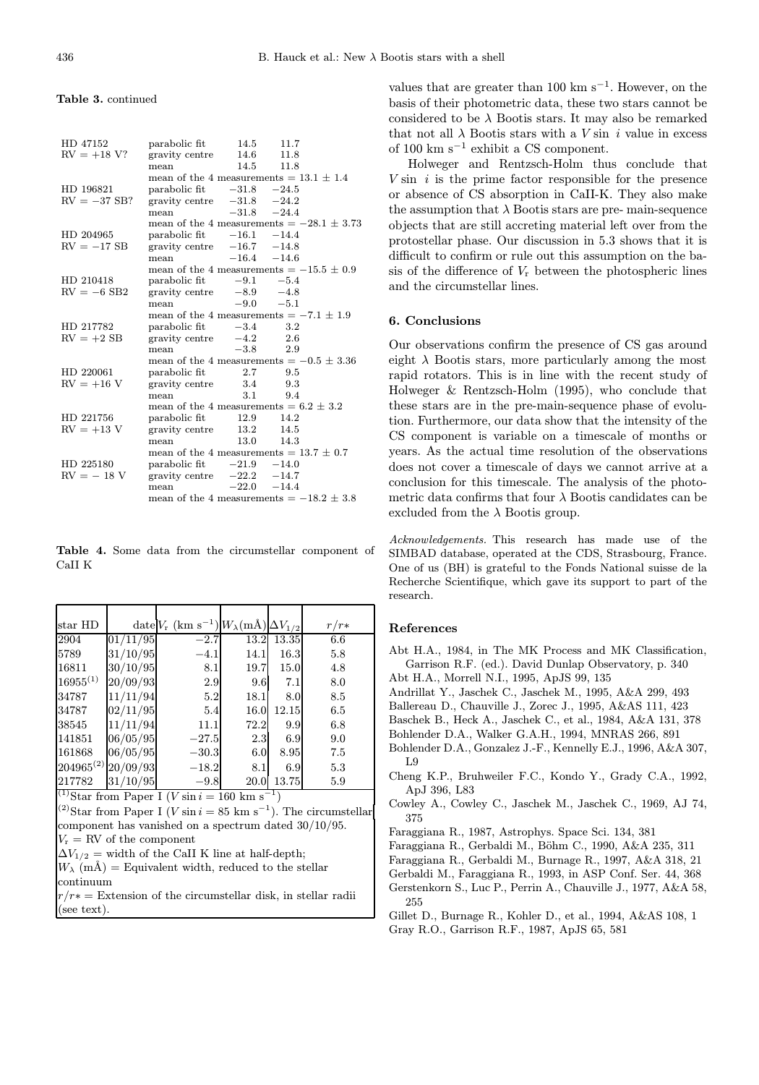#### Table 3. continued

| HD 47152       | parabolic fit                                | 14.5            | 11.7          |  |
|----------------|----------------------------------------------|-----------------|---------------|--|
| $RV = +18 V?$  | gravity centre                               |                 | 14.6 11.8     |  |
|                | mean                                         |                 | 14.5 11.8     |  |
|                | mean of the 4 measurements $= 13.1 \pm 1.4$  |                 |               |  |
| HD 196821      | parabolic fit $-31.8$ $-24.5$                |                 |               |  |
| $RV = -37$ SB? | gravity centre $-31.8$ $-24.2$               |                 |               |  |
|                | mean                                         |                 | $-31.8 -24.4$ |  |
|                | mean of the 4 measurements $=-28.1 \pm 3.73$ |                 |               |  |
| HD 204965      | parabolic fit $-16.1$ $-14.4$                |                 |               |  |
| $RV = -17$ SB  | gravity centre $-16.7$ -14.8                 |                 |               |  |
|                | mean                                         | $-16.4$ $-14.6$ |               |  |
|                | mean of the 4 measurements $= -15.5 \pm 0.9$ |                 |               |  |
| HD 210418      | parabolic fit $-9.1 -5.4$                    |                 |               |  |
| $RV = -6$ SB2  | gravity centre $-8.9$ $-4.8$                 |                 |               |  |
|                | mean                                         |                 | $-9.0 -5.1$   |  |
|                | mean of the 4 measurements $= -7.1 \pm 1.9$  |                 |               |  |
| HD 217782      | $\alpha$ parabolic fit $-3.4$                |                 | 3.2           |  |
| $RV = +2 SB$   | gravity centre $-4.2$                        |                 | 2.6           |  |
|                | mean                                         | $-3.8$          | 2.9           |  |
|                | mean of the 4 measurements $= -0.5 \pm 3.36$ |                 |               |  |
| HD 220061      | parabolic fit                                |                 | 2.7 9.5       |  |
| $RV = +16 V$   | gravity centre 3.4 9.3                       |                 |               |  |
|                | mean                                         | 3.1             | 9.4           |  |
|                | mean of the 4 measurements = $6.2 \pm 3.2$   |                 |               |  |
| HD 221756      | parabolic fit                                | 12.9            | 14.2          |  |
| $RV = +13 V$   | gravity centre                               |                 | 13.2 14.5     |  |
|                | mean                                         | 13.0            | -- 14.3       |  |
|                | mean of the 4 measurements = $13.7 \pm 0.7$  |                 |               |  |
| HD 225180      | parabolic fit $-21.9$ $-14.0$                |                 |               |  |
| $RV = -18 V$   | gravity centre $-22.2$ -14.7                 |                 |               |  |
|                | mean                                         |                 | $-22.0 -14.4$ |  |
|                | mean of the 4 measurements $= -18.2 \pm 3.8$ |                 |               |  |

Table 4. Some data from the circumstellar component of CaII K

| $star$ HD      |          | date $V_{\rm r}$ (km s <sup>-1</sup> ) $W_{\lambda}$ (mÅ) $\Delta V_{1/2}$ |      |       | $r/r*$  |
|----------------|----------|----------------------------------------------------------------------------|------|-------|---------|
| 2904           | 01/11/95 | $-2.7$                                                                     | 13.2 | 13.35 | $6.6\,$ |
| 5789           | 31/10/95 | $-4.1$                                                                     | 14.1 | 16.3  | 5.8     |
| 16811          | 30/10/95 | 8.1                                                                        | 19.7 | 15.0  | 4.8     |
| $16955^{(1)}$  | 20/09/93 | 2.9                                                                        | 9.6  | 7.1   | 8.0     |
| 34787          | 11/11/94 | 5.2                                                                        | 18.1 | 8.0   | 8.5     |
| 34787          | 02/11/95 | 5.4                                                                        | 16.0 | 12.15 | 6.5     |
| 38545          | 11/11/94 | 11.1                                                                       | 72.2 | 9.9   | 6.8     |
| 141851         | 06/05/95 | $-27.5$                                                                    | 2.3  | 6.9   | 9.0     |
| 161868         | 06/05/95 | $-30.3$                                                                    | 6.0  | 8.95  | 7.5     |
| $204965^{(2)}$ | 20/09/93 | $-18.2$                                                                    | 8.1  | 6.9   | 5.3     |
| 217782         | 31/10/95 | $-9.8$                                                                     | 20.0 | 13.75 | 5.9     |

 $(1)$ Star from Paper I (V sin  $i = 160$  km s<sup>-1</sup>)

<sup>(2)</sup>Star from Paper I (*V* sin  $i = 85$  km s<sup>-1</sup>). The circumstellar component has vanished on a spectrum dated 30/10/95.  $V_r = RV$  of the component

 $\Delta V_{1/2}$  = width of the CaII K line at half-depth;

 $W_{\lambda}$  (mÅ) = Equivalent width, reduced to the stellar continuum

 $r/r* =$  Extension of the circumstellar disk, in stellar radii (see text).

values that are greater than 100 km s<sup> $-1$ </sup>. However, on the basis of their photometric data, these two stars cannot be considered to be  $\lambda$  Bootis stars. It may also be remarked that not all  $\lambda$  Bootis stars with a V sin i value in excess of 100 km s<sup>−</sup><sup>1</sup> exhibit a CS component.

Holweger and Rentzsch-Holm thus conclude that  $V \sin i$  is the prime factor responsible for the presence or absence of CS absorption in CaII-K. They also make the assumption that  $\lambda$  Bootis stars are pre- main-sequence objects that are still accreting material left over from the protostellar phase. Our discussion in 5.3 shows that it is difficult to confirm or rule out this assumption on the basis of the difference of  $V_r$  between the photospheric lines and the circumstellar lines.

## 6. Conclusions

Our observations confirm the presence of CS gas around eight  $\lambda$  Bootis stars, more particularly among the most rapid rotators. This is in line with the recent study of Holweger & Rentzsch-Holm (1995), who conclude that these stars are in the pre-main-sequence phase of evolution. Furthermore, our data show that the intensity of the CS component is variable on a timescale of months or years. As the actual time resolution of the observations does not cover a timescale of days we cannot arrive at a conclusion for this timescale. The analysis of the photometric data confirms that four  $\lambda$  Bootis candidates can be excluded from the  $\lambda$  Bootis group.

Acknowledgements. This research has made use of the SIMBAD database, operated at the CDS, Strasbourg, France. One of us (BH) is grateful to the Fonds National suisse de la Recherche Scientifique, which gave its support to part of the research.

#### References

- Abt H.A., 1984, in The MK Process and MK Classification, Garrison R.F. (ed.). David Dunlap Observatory, p. 340
- Abt H.A., Morrell N.I., 1995, ApJS 99, 135
- Andrillat Y., Jaschek C., Jaschek M., 1995, A&A 299, 493
- Ballereau D., Chauville J., Zorec J., 1995, A&AS 111, 423
- Baschek B., Heck A., Jaschek C., et al., 1984, A&A 131, 378

Bohlender D.A., Walker G.A.H., 1994, MNRAS 266, 891

- Bohlender D.A., Gonzalez J.-F., Kennelly E.J., 1996, A&A 307, L9
- Cheng K.P., Bruhweiler F.C., Kondo Y., Grady C.A., 1992, ApJ 396, L83
- Cowley A., Cowley C., Jaschek M., Jaschek C., 1969, AJ 74, 375
- Faraggiana R., 1987, Astrophys. Space Sci. 134, 381
- Faraggiana R., Gerbaldi M., Böhm C., 1990, A&A 235, 311

Faraggiana R., Gerbaldi M., Burnage R., 1997, A&A 318, 21

- Gerbaldi M., Faraggiana R., 1993, in ASP Conf. Ser. 44, 368
- Gerstenkorn S., Luc P., Perrin A., Chauville J., 1977, A&A 58, 255
- Gillet D., Burnage R., Kohler D., et al., 1994, A&AS 108, 1 Gray R.O., Garrison R.F., 1987, ApJS 65, 581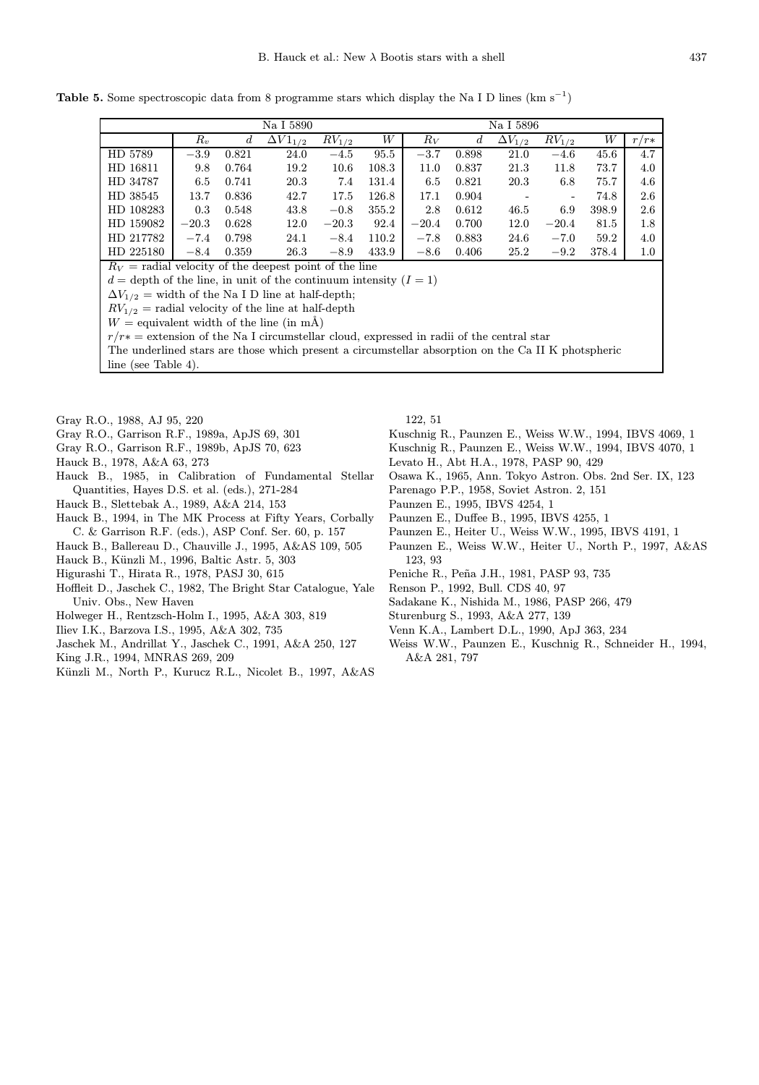Table 5. Some spectroscopic data from 8 programme stars which display the Na I D lines (km s<sup>-1</sup>)

|                                                          |         |                  | Na I 5890         |            |       | Na I 5896 |       |                  |            |       |        |
|----------------------------------------------------------|---------|------------------|-------------------|------------|-------|-----------|-------|------------------|------------|-------|--------|
|                                                          | $R_v$   | $\boldsymbol{d}$ | $\Delta V1_{1/2}$ | $RV_{1/2}$ | W     | $R_V$     | d     | $\Delta V_{1/2}$ | $RV_{1/2}$ | W     | $r/r*$ |
| HD 5789                                                  | $-3.9$  | 0.821            | 24.0              | $-4.5$     | 95.5  | $-3.7$    | 0.898 | 21.0             | $-4.6$     | 45.6  | 4.7    |
| HD 16811                                                 | 9.8     | 0.764            | 19.2              | 10.6       | 108.3 | 11.0      | 0.837 | 21.3             | 11.8       | 73.7  | 4.0    |
| HD 34787                                                 | 6.5     | 0.741            | 20.3              | 7.4        | 131.4 | 6.5       | 0.821 | 20.3             | 6.8        | 75.7  | 4.6    |
| HD 38545                                                 | 13.7    | 0.836            | 42.7              | 17.5       | 126.8 | 17.1      | 0.904 |                  |            | 74.8  | 2.6    |
| HD 108283                                                | 0.3     | 0.548            | 43.8              | $-0.8$     | 355.2 | 2.8       | 0.612 | 46.5             | 6.9        | 398.9 | 2.6    |
| HD 159082                                                | $-20.3$ | 0.628            | 12.0              | $-20.3$    | 92.4  | $-20.4$   | 0.700 | 12.0             | $-20.4$    | 81.5  | 1.8    |
| HD 217782                                                | $-7.4$  | 0.798            | 24.1              | $-8.4$     | 110.2 | $-7.8$    | 0.883 | 24.6             | $-7.0$     | 59.2  | 4.0    |
| HD 225180                                                | $-8.4$  | 0.359            | 26.3              | $-8.9$     | 433.9 | $-8.6$    | 0.406 | 25.2             | $-9.2$     | 378.4 | 1.0    |
| $R_V$ = radial velocity of the deepest point of the line |         |                  |                   |            |       |           |       |                  |            |       |        |

 $d =$  depth of the line, in unit of the continuum intensity  $(I = 1)$ 

 $\Delta V_{1/2}$  = width of the Na I D line at half-depth;

 $RV_{1/2}$  = radial velocity of the line at half-depth

 $W =$  equivalent width of the line (in mÅ)

 $r/r*$  = extension of the Na I circumstellar cloud, expressed in radii of the central star

The underlined stars are those which present a circumstellar absorption on the Ca II K photspheric

line (see Table 4).

- Gray R.O., 1988, AJ 95, 220
- Gray R.O., Garrison R.F., 1989a, ApJS 69, 301
- Gray R.O., Garrison R.F., 1989b, ApJS 70, 623
- Hauck B., 1978, A&A 63, 273
- Hauck B., 1985, in Calibration of Fundamental Stellar Quantities, Hayes D.S. et al. (eds.), 271-284
- Hauck B., Slettebak A., 1989, A&A 214, 153
- Hauck B., 1994, in The MK Process at Fifty Years, Corbally C. & Garrison R.F. (eds.), ASP Conf. Ser. 60, p. 157
- Hauck B., Ballereau D., Chauville J., 1995, A&AS 109, 505
- Hauck B., Künzli M., 1996, Baltic Astr. 5, 303
- Higurashi T., Hirata R., 1978, PASJ 30, 615
- Hoffleit D., Jaschek C., 1982, The Bright Star Catalogue, Yale Univ. Obs., New Haven
- Holweger H., Rentzsch-Holm I., 1995, A&A 303, 819
- Iliev I.K., Barzova I.S., 1995, A&A 302, 735
- Jaschek M., Andrillat Y., Jaschek C., 1991, A&A 250, 127
- King J.R., 1994, MNRAS 269, 209
- Künzli M., North P., Kurucz R.L., Nicolet B., 1997, A&AS

122, 51

- Kuschnig R., Paunzen E., Weiss W.W., 1994, IBVS 4069, 1
- Kuschnig R., Paunzen E., Weiss W.W., 1994, IBVS 4070, 1
- Levato H., Abt H.A., 1978, PASP 90, 429
- Osawa K., 1965, Ann. Tokyo Astron. Obs. 2nd Ser. IX, 123
- Parenago P.P., 1958, Soviet Astron. 2, 151
- Paunzen E., 1995, IBVS 4254, 1
- Paunzen E., Duffee B., 1995, IBVS 4255, 1
- Paunzen E., Heiter U., Weiss W.W., 1995, IBVS 4191, 1
- Paunzen E., Weiss W.W., Heiter U., North P., 1997, A&AS 123, 93
- Peniche R., Peña J.H., 1981, PASP 93, 735
- Renson P., 1992, Bull. CDS 40, 97
- Sadakane K., Nishida M., 1986, PASP 266, 479
- Sturenburg S., 1993, A&A 277, 139
- Venn K.A., Lambert D.L., 1990, ApJ 363, 234
- Weiss W.W., Paunzen E., Kuschnig R., Schneider H., 1994, A&A 281, 797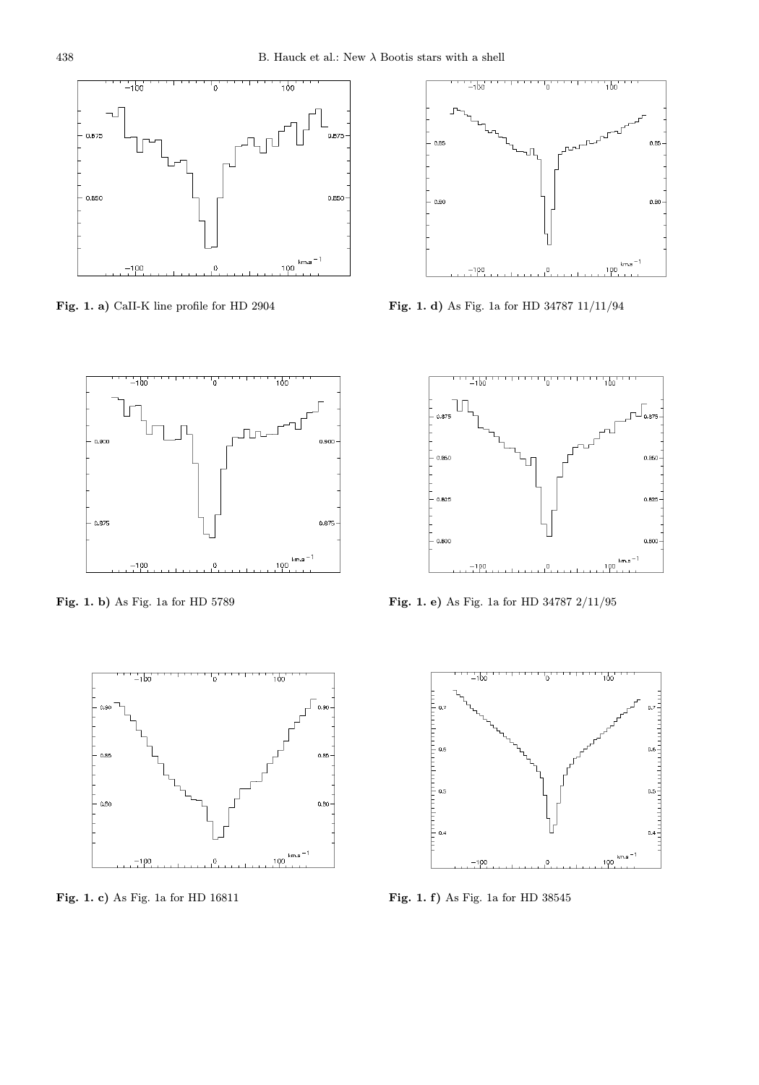

Fig. 1. a) CaII-K line profile for HD 2904



Fig. 1. b) As Fig. 1a for HD 5789



Fig. 1. c) As Fig. 1a for HD 16811



Fig. 1. d) As Fig. 1a for HD 34787 11/11/94



Fig. 1. e) As Fig. 1a for HD 34787 2/11/95



Fig. 1. f) As Fig. 1a for HD 38545